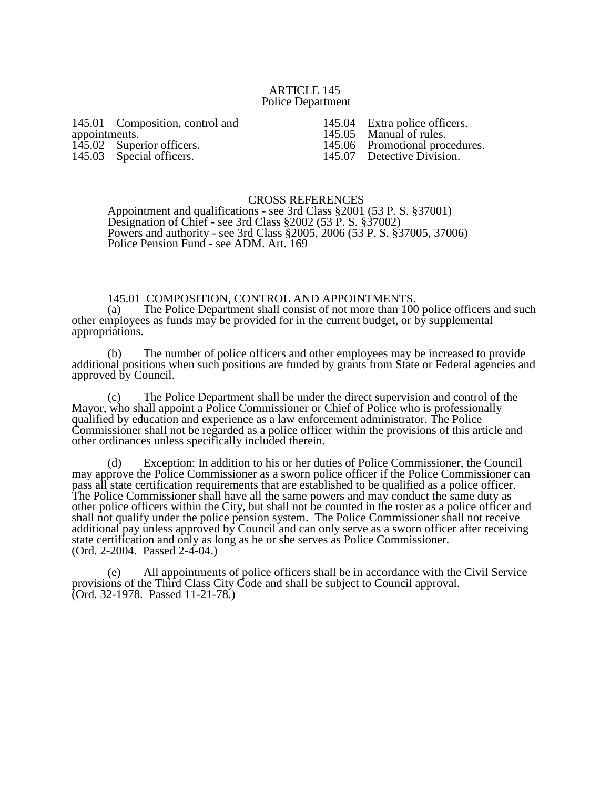#### ARTICLE 145 Police Department

145.01 Composition, control and appointments. 145.02 Superior officers. 145.03 Special officers.

145.04 Extra police officers.<br>145.05 Manual of rules. 145.05 Manual of rules.<br>145.06 Promotional proc 145.06 Promotional procedures.<br>145.07 Detective Division. Detective Division.

# CROSS REFERENCES

Appointment and qualifications - see 3rd Class §2001 (53 P. S. §37001) Designation of Chief - see 3rd Class §2002 (53 P. S. §37002) Powers and authority - see 3rd Class §2005, 2006 (53 P. S. §37005, 37006) Police Pension Fund - see ADM. Art. 169

# 145.01 COMPOSITION, CONTROL AND APPOINTMENTS.

(a) The Police Department shall consist of not more than 100 police officers and such other employees as funds may be provided for in the current budget, or by supplemental appropriations.

(b) The number of police officers and other employees may be increased to provide additional positions when such positions are funded by grants from State or Federal agencies and approved by Council.

(c) The Police Department shall be under the direct supervision and control of the Mayor, who shall appoint a Police Commissioner or Chief of Police who is professionally qualified by education and experience as a law enforcement administrator. The Police Commissioner shall not be regarded as a police officer within the provisions of this article and other ordinances unless specifically included therein.

(d) Exception: In addition to his or her duties of Police Commissioner, the Council may approve the Police Commissioner as a sworn police officer if the Police Commissioner can pass all state certification requirements that are established to be qualified as a police officer. The Police Commissioner shall have all the same powers and may conduct the same duty as other police officers within the City, but shall not be counted in the roster as a police officer and shall not qualify under the police pension system. The Police Commissioner shall not receive additional pay unless approved by Council and can only serve as a sworn officer after receiving state certification and only as long as he or she serves as Police Commissioner. (Ord. 2-2004. Passed 2-4-04.)

(e) All appointments of police officers shall be in accordance with the Civil Service provisions of the Third Class City Code and shall be subject to Council approval. (Ord. 32-1978. Passed 11-21-78.)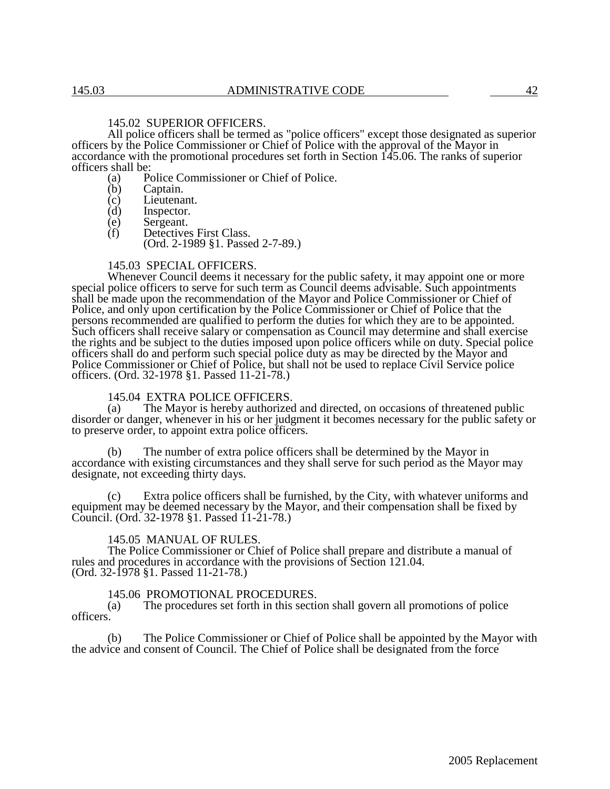## 145.02 SUPERIOR OFFICERS.

All police officers shall be termed as "police officers" except those designated as superior officers by the Police Commissioner or Chief of Police with the approval of the Mayor in accordance with the promotional procedures set forth in Section 145.06. The ranks of superior officers shall be:

- (a) Police Commissioner or Chief of Police.
- (b) Captain.
- (c) Lieutenant.<br>(d) Inspector.
- 
- (d) Inspector.<br>(e) Sergeant. (e) Sergeant.<br>(f) Detectives
- Detectives First Class. (Ord. 2-1989 §1. Passed 2-7-89.)

#### 145.03 SPECIAL OFFICERS.

Whenever Council deems it necessary for the public safety, it may appoint one or more special police officers to serve for such term as Council deems advisable. Such appointments shall be made upon the recommendation of the Mayor and Police Commissioner or Chief of Police, and only upon certification by the Police Commissioner or Chief of Police that the persons recommended are qualified to perform the duties for which they are to be appointed. Such officers shall receive salary or compensation as Council may determine and shall exercise the rights and be subject to the duties imposed upon police officers while on duty. Special police officers shall do and perform such special police duty as may be directed by the Mayor and Police Commissioner or Chief of Police, but shall not be used to replace Civil Service police officers. (Ord. 32-1978 §1. Passed 11-21-78.)

# 145.04 EXTRA POLICE OFFICERS.<br>(a) The Mayor is hereby authorized

The Mayor is hereby authorized and directed, on occasions of threatened public disorder or danger, whenever in his or her judgment it becomes necessary for the public safety or to preserve order, to appoint extra police officers.

(b) The number of extra police officers shall be determined by the Mayor in accordance with existing circumstances and they shall serve for such period as the Mayor may designate, not exceeding thirty days.

(c) Extra police officers shall be furnished, by the City, with whatever uniforms and equipment may be deemed necessary by the Mayor, and their compensation shall be fixed by Council. (Ord. 32-1978 §1. Passed 11-21-78.)

### 145.05 MANUAL OF RULES.

The Police Commissioner or Chief of Police shall prepare and distribute a manual of rules and procedures in accordance with the provisions of Section 121.04. (Ord. 32-1978 §1. Passed 11-21-78.)

# 145.06 PROMOTIONAL PROCEDURES.<br>(a) The procedures set forth in this section

The procedures set forth in this section shall govern all promotions of police officers.

(b) The Police Commissioner or Chief of Police shall be appointed by the Mayor with the advice and consent of Council. The Chief of Police shall be designated from the force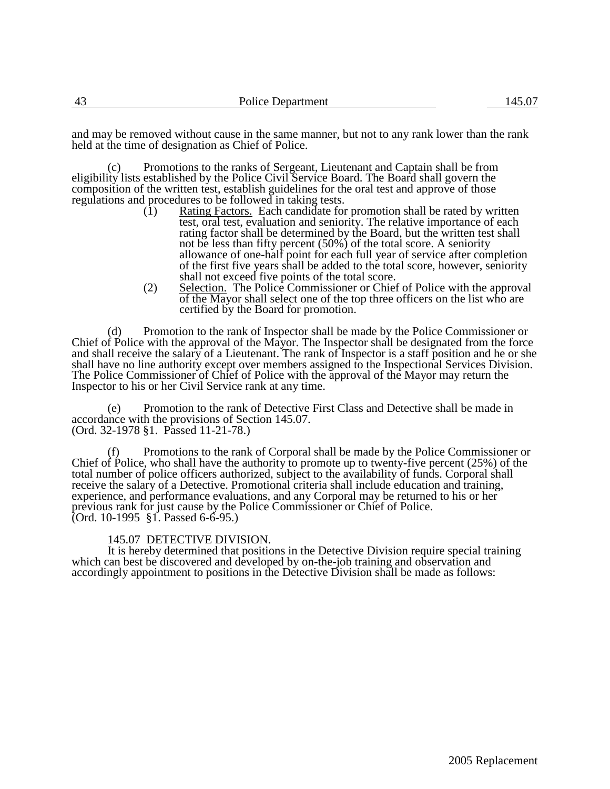| Police Department |  |
|-------------------|--|
|                   |  |

and may be removed without cause in the same manner, but not to any rank lower than the rank held at the time of designation as Chief of Police.

(c) Promotions to the ranks of Sergeant, Lieutenant and Captain shall be from eligibility lists established by the Police Civil Service Board. The Board shall govern the composition of the written test, establish guidelines for the oral test and approve of those regulations and procedures to be followed in taking tests.<br>(1) Rating Factors. Each candidate for

- Rating Factors. Each candidate for promotion shall be rated by written test, oral test, evaluation and seniority. The relative importance of each rating factor shall be determined by the Board, but the written test shall not be less than fifty percent (50%) of the total score. A seniority allowance of one-half point for each full year of service after completion of the first five years shall be added to the total score, however, seniority shall not exceed five points of the total score.
- (2) Selection. The Police Commissioner or Chief of Police with the approval of the Mayor shall select one of the top three officers on the list who are certified by the Board for promotion.

(d) Promotion to the rank of Inspector shall be made by the Police Commissioner or Chief of Police with the approval of the Mayor. The Inspector shall be designated from the force and shall receive the salary of a Lieutenant. The rank of Inspector is a staff position and he or she shall have no line authority except over members assigned to the Inspectional Services Division. The Police Commissioner of Chief of Police with the approval of the Mayor may return the Inspector to his or her Civil Service rank at any time.

(e) Promotion to the rank of Detective First Class and Detective shall be made in accordance with the provisions of Section 145.07. (Ord. 32-1978 §1. Passed 11-21-78.)

Promotions to the rank of Corporal shall be made by the Police Commissioner or Chief of Police, who shall have the authority to promote up to twenty-five percent (25%) of the total number of police officers authorized, subject to the availability of funds. Corporal shall receive the salary of a Detective. Promotional criteria shall include education and training, experience, and performance evaluations, and any Corporal may be returned to his or her previous rank for just cause by the Police Commissioner or Chief of Police. (Ord. 10-1995 §1. Passed 6-6-95.)

### 145.07 DETECTIVE DIVISION.

It is hereby determined that positions in the Detective Division require special training which can best be discovered and developed by on-the-job training and observation and accordingly appointment to positions in the Detective Division shall be made as follows: